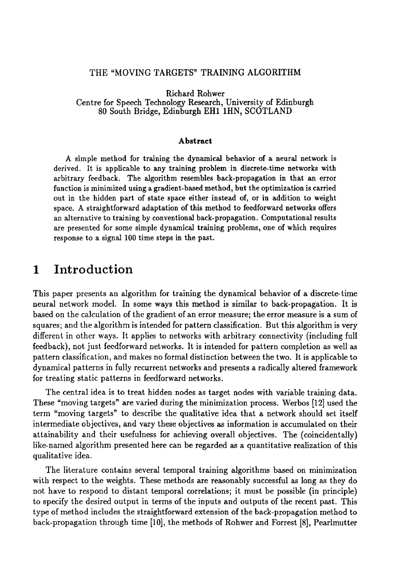#### THE "MOVING TARGETS" TRAINING ALGORITHM

Richard Rohwer Centre for Speech Technology Research, University of Edinburgh 80 South Bridge, Edinburgh EH1 1HN, SCOTLAND

#### Abstract

A simple method for training the dynamical behavior of a neural network is derived. It is applicable to any training problem in discrete-time networks with arbitrary feedback. The algorithm resembles back-propagation in that an error function is minimized using a gradient-based method, but the optimization is carried out in the hidden part of state space either instead of, or in addition to weight space. A straightforward adaptation of this method to feedforward networks offers an alternative to training by conventional back-propagation. Computational results are presented for some simple dynamical training problems, one of which requires response to a signal 100 time steps in the past.

#### Introduction  $\mathbf{1}$

This paper presents an algorithm for training the dynamical behavior of a discrete-time neural network model. In some ways this method is similar to back-propagation. It is based on the calculation of the gradient of an error measure; the error measure is a sum of squares; and the algorithm is intended for pattern classification. But this algorithm is very different in other ways. It applies to networks with arbitrary connectivity (including full feedback), not just feedforward networks. It is intended for pattern completion as well as pattern classification, and makes no formal distinction between the two. It is applicable to dynamical patterns in fully recurrent networks and presents a radically altered framework for treating static patterns in feedforward networks.

The central idea is to treat hidden nodes as target nodes with variable training data. These "moving targets" are varied during the minimization process. Werbos  $[12]$  used the term "moving targets" to describe the qualitative idea that a network should set itself intermediate objectives, and vary these objectives as information is accumulated on their attainability and their usefulness for achieving overall objectives. The (coincidentally) like-named algorithm presented here can be regarded as a quantitative realization of this qualitative idea.

attained the coincidence of achieving overall objectives. The  $($ coincidentally  $)$ like-increased consents sected scription staming algorithms based on imminization with respect to the weights. These methods are reasonably successful as long as they do not have to respond to distant temporal correlations; it must be possible (in principle) to specify the desired output in terms of the inputs and outputs of the recent past. This type of method includes the straightforward extension of the back-propagation method to back-propagation through time  $[10]$ , the methods of Rohwer and Forrest  $[8]$ , Pearlmutter

to specify the desired outputs and outputs and outputs and outputs and outputs  $\mathcal{L}$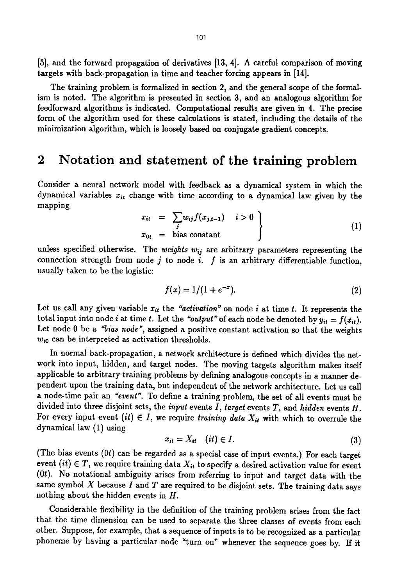[5], and the forward propagation of derivatives [13, 4]. A careful comparison of moving targets with back-propagation in time and teacher forcing appears in [14].

The training problem is formalized in section 2, and the general scope of the formalism is noted. The algorithm is presented in section 3, and an analogous algorithm for feedforward algorithms is indicated. Computational results are given in 4. The precise form of the algorithm used for these calculations is stated, including the details of the minimization algorithm, which is loosely based on conjugate gradient concepts.

# **2 Notation and statement of the training problem**

Consider a neural network model with feedback as a dynamical system in which the dynamical variables  $x_{it}$  change with time according to a dynamical law given by the mapping

$$
x_{it} = \sum_{j} w_{ij} f(x_{j,t-1}) \quad i > 0
$$
  
\n
$$
x_{0t} = \text{bias constant}
$$
 (1)

unless specified otherwise. The *weights*  $w_{ij}$  are arbitrary parameters representing the connection strength from node j to node i.  $f$  is an arbitrary differentiable function, usually taken to be the logistic:

$$
f(x) = 1/(1 + e^{-x}).
$$
 (2)

Let us call any given variable  $x_{it}$  the *"activation"* on node i at time t. It represents the total input into node *i* at time *t*. Let the "output" of each node be denoted by  $y_{it} = f(x_{it})$ . Let node 0 be a *"bias node",* assigned a positive constant activation so that the weights *Wio* can be interpreted as activation thresholds.

In normal back-propagation, a network architecture is defined which divides the network into input, hidden, and target nodes. The moving targets algorithm makes itself applicable to arbitrary training problems by defining analogous concepts in a manner dependent upon the training data, but independent of the network architecture. Let us call a node-time pair an *"event".* To define a training problem, the set of all events must be divided into three disjoint sets, the *input* events I, *target* events T, and *hidden* events H. For every input event  $(it) \in I$ , we require *training data*  $X_{it}$  with which to overrule the dynamical law (1) using

$$
x_{it} = X_{it} \quad (it) \in I. \tag{3}
$$

(The bias events  $(0t)$  can be regarded as a special case of input events.) For each target event  $(it) \in T$ , we require training data  $X_{it}$  to specify a desired activation value for event (0t). No notational ambiguity arises from referring to input and target data with the same symbol  $X$  because  $I$  and  $T$  are required to be disjoint sets. The training data says nothing about the hidden events in H.

Considerable flexibility in the definition of the training problem arises from the fact that the time dimension can be used to separate the three classes of events from each other. Suppose, for example, that a sequence of inputs is to be recognized as a particular phoneme by having a particular node "turn on" whenever the sequence goes by. If it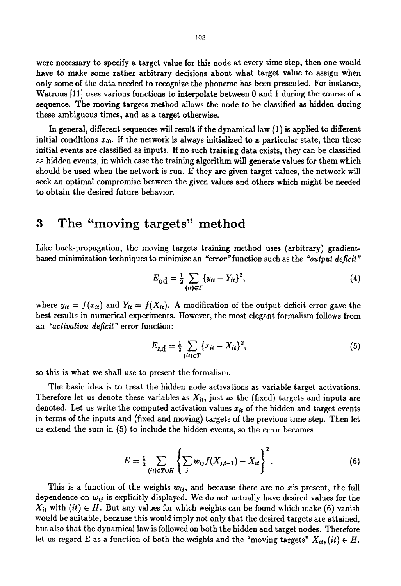were necessary to specify a target value for this node at every time step, then one would have to make some rather arbitrary decisions about what target value to assign when only some of the data needed to recognize the phoneme has been presented. For instance, Watrous [11] uses various functions to interpolate between 0 and 1 during the course of a sequence. The moving targets method allows the node to be classified as hidden during these ambiguous times, and as a target otherwise.

In general, different sequences will result if the dynamical law (1) is applied to different initial conditions  $x_{i0}$ . If the network is always initialized to a particular state, then these initial events are classified as inputs. If no such training data exists, they can be classified as hidden events, in which case the training algorithm will generate values for them which should be used when the network is run. If they are given target values, the network will seek an optimal compromise between the given values and others which might be needed to obtain the desired future behavior.

## **3 The "moving targets" method**

Like back-propagation, the moving targets training method uses (arbitrary) gradientbased minimization techniques to minimize an "error" function such as the "output deficit"

$$
E_{\text{od}} = \frac{1}{2} \sum_{(ii) \in T} \{y_{ii} - Y_{ii}\}^2, \tag{4}
$$

where  $y_{it} = f(x_{it})$  and  $Y_{it} = f(X_{it})$ . A modification of the output deficit error gave the best results in numerical experiments. However, the most elegant formalism follows from an *"activation deficit"* error function:

$$
E_{\text{ad}} = \frac{1}{2} \sum_{(it) \in T} \{x_{it} - X_{it}\}^2,\tag{5}
$$

so this is what we shall use to present the formalism.

The basic idea is to treat the hidden node activations as variable target activations. Therefore let us denote these variables as *Xit,* just as the (fixed) targets and inputs are denoted. Let us write the computed activation values  $x_{it}$  of the hidden and target events in terms of the inputs and (fixed and moving) targets of the previous time step. Then let us extend the sum in (5) to include the hidden events, so the error becomes

$$
E = \frac{1}{2} \sum_{(it) \in T \cup H} \left\{ \sum_{j} w_{ij} f(X_{j,t-1}) - X_{it} \right\}^{2}.
$$
 (6)

This is a function of the weights  $w_{ij}$ , and because there are no x's present, the full dependence on *wij* is explicitly displayed. We do not actually have desired values for the  $X_{it}$  with  $(it) \in H$ . But any values for which weights can be found which make (6) vanish would be suitable, because this would imply not only that the desired targets are attained, but also that the dynamical law is followed on both the hidden and target nodes. Therefore let us regard E as a function of both the weights and the "moving targets"  $X_{it}$ ,  $(it) \in H$ .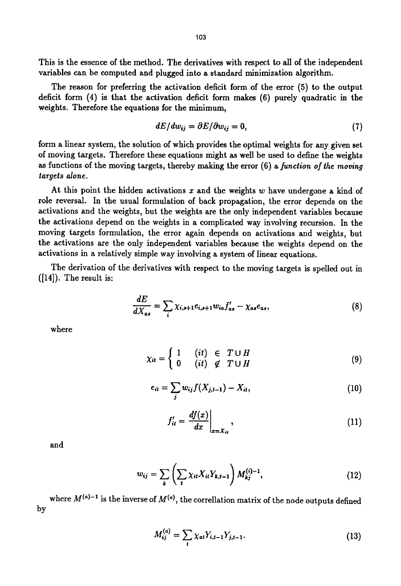This is the essence of the method. The derivatives with respect to all of the independent variables can be computed and plugged into a standard minimization algorithm.

The reason for preferring the activation deficit form of the error (5) to the output deficit form (4) is that the activation deficit form makes (6) purely quadratic in the weights. Therefore the equations for the minimum,

$$
dE/dw_{ij} = \partial E/\partial w_{ij} = 0, \qquad (7)
$$

form a linear system, the solution of which provides the optimal weights for any given set of moving targets. Therefore these equations might as well be used to define the weights as functions of the moving targets, thereby making the error (6) a *function of the moving targets alone.* 

At this point the hidden activations x and the weights w have undergone a kind of role reversal. In the usual formulation of back propagation, the error depends on the activations and the weights, but the weights are the only independent variables because the activations depend on the weights in a complicated way involving recursion. In the moving targets formulation, the error again depends on activations and weights, but the activations are the only independent variables because the weights depend on the activations in a relatively simple way involving a system of linear equations.

The derivation of the derivatives with respect to the moving targets is spelled out in ([14]). The result is:

$$
\frac{dE}{dX_{as}} = \sum_{i} \chi_{i,s+1} e_{i,s+1} w_{ia} f'_{as} - \chi_{as} e_{as}, \qquad (8)
$$

where

$$
\chi_{it} = \begin{cases} 1 & (it) \in T \cup H \\ 0 & (it) \notin T \cup H \end{cases} \tag{9}
$$

$$
e_{it} = \sum_{j} w_{ij} f(X_{j,t-1}) - X_{it}, \qquad (10)
$$

$$
f'_{it} = \frac{df(x)}{dx}\bigg|_{x=X_{it}},\tag{11}
$$

and

$$
w_{ij} = \sum_{k} \left( \sum_{i} \chi_{it} X_{it} Y_{k,t-1} \right) M_{kj}^{(i)-1}, \tag{12}
$$

by where  $M^{(a)-1}$  is the inverse of  $M^{(a)}$ , the correllation matrix of the node outputs defined

$$
M_{ij}^{(a)} = \sum_{t} \chi_{at} Y_{i,t-1} Y_{j,t-1}.
$$
 (13)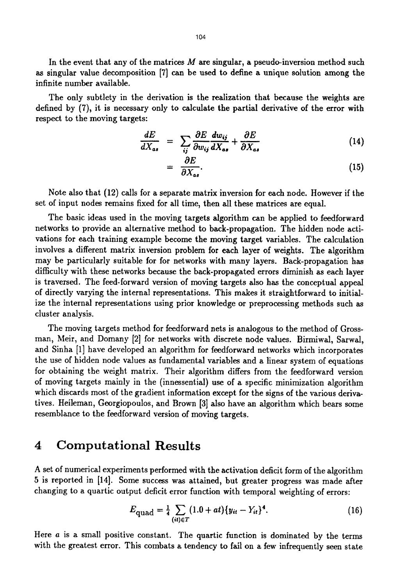In the event that any of the matrices  $M$  are singular, a pseudo-inversion method such as singular value decomposition [7] can be used to define a unique solution among the infinite number available.

The only subtlety in the derivation is the realization that because the weights are defined by (7), it is necessary only to calculate the partial derivative of the error with respect to the moving targets:

$$
\frac{dE}{dX_{as}} = \sum_{ij} \frac{\partial E}{\partial w_{ij}} \frac{dw_{ij}}{dX_{as}} + \frac{\partial E}{\partial X_{as}} \tag{14}
$$

$$
= \frac{\partial E}{\partial X_{as}}.\tag{15}
$$

Note also that (12) calls for a separate matrix inversion for each node. However if the set of input nodes remains fixed for all time, then all these matrices are equal.

The basic ideas used in the moving targets algorithm can be applied to feedforward networks to provide an alternative method to back-propagation. The hidden node activations for each training example become the moving target variables. The calculation involves a different matrix inversion problem for each layer of weights. The algorithm may be particularly suitable for for networks with many layers. Back-propagation has difficulty with these networks because the back-propagated errors diminish as each layer is traversed. The feed-forward version of moving targets also has the conceptual appeal of directly varying the internal representations. This makes it straightforward to initialize the internal representations using prior knowledge or preprocessing methods such as cluster analysis.

The moving targets method for feedforward nets is analogous to the method of Grossman, Meir, and Domany [2] for networks with discrete node values. Birmiwal, Sarwal, and Sinha [1] have developed an algorithm for feedforward networks which incorporates the use of hidden node values as fundamental variables and a linear system of equations for obtaining the weight matrix. Their algorithm differs from the feedforward version of moving targets mainly in the (innessential) use of a specific minimization algorithm which discards most of the gradient information except for the signs of the various derivatives. Heileman, Georgiopoulos, and Brown [3] also have an algorithm which bears some resemblance to the feedforward version of moving targets.

#### **4 Computational Results**

A set of numerical experiments performed with the activation deficit form of the algorithm 5 is reported in [14]. Some success was attained, but greater progress was made after changing to a quartic output deficit error function with temporal weighting of errors:

$$
E_{\text{quad}} = \frac{1}{4} \sum_{(ii) \in T} (1.0 + at) \{y_{it} - Y_{it}\}^4.
$$
 (16)

Here a is a small positive constant. The quartic function is dominated by the terms with the greatest error. This combats a tendency to fail on a few infrequently seen state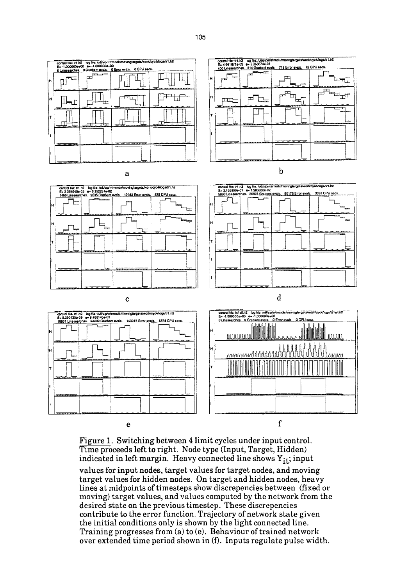

Figure 1. Switching between 4 limit cycles under input control. Time proceeds left to right. Node type (Input, Target, Hidden) indicated in left margin. Heavy connected line shows  $Y_{it}$ ; input

e f

values for input nodes, target values for target nodes, and moving target values for hidden nodes. On target and hidden nodes, heavy lines at midpoints of timesteps show discrepencies between (fixed or moving) target values, and values computed by the network from the desired state on the previous timestep. These discrepencies contribute to the error function. Trajectory of network state given the initial conditions only is shown by the light connected line. Training progresses from (a) to (e). Behaviour of trained network over extended time period shown in (f). Inputs regulate pulse width.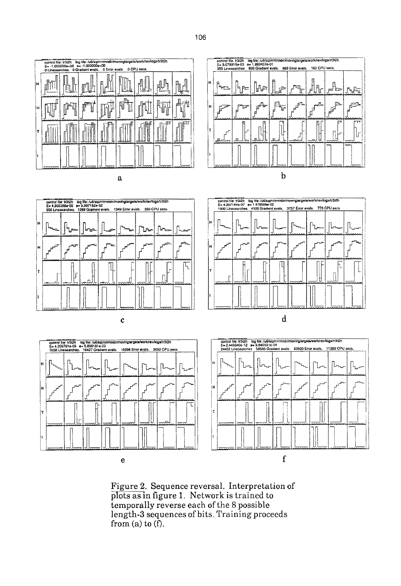



 $\mathbf{e}$ 

 $\mathbf f$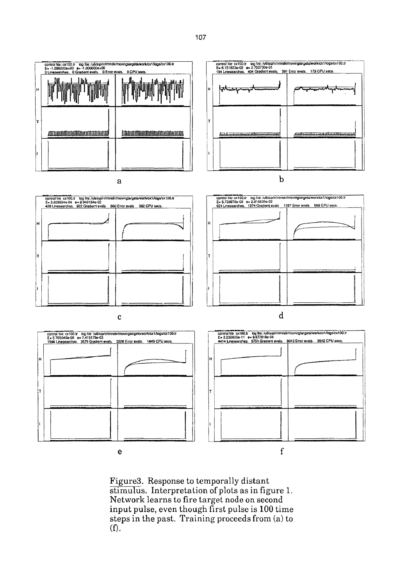

Figure3. Response to temporally distant stimulus. Interpretation of plots as in figure 1. Network learns to fire target node on second input pulse, even though first pulse is 100 time steps in the past. Training proceeds from (a) to  $(f).$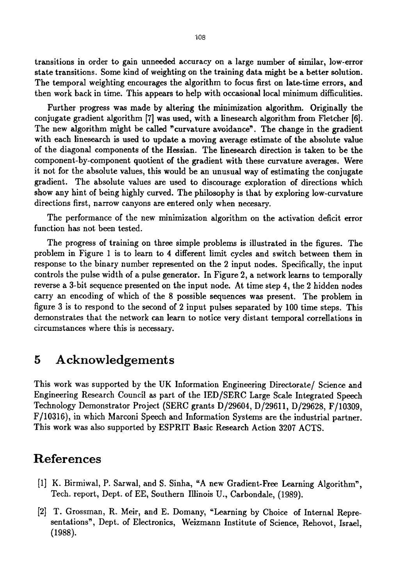transitions in order to gain unneeded accuracy on a large number of similar, low-error state transitions. Some kind of weighting on the training data might be a better solution. The temporal weighting encourages the algorithm to focus first on late-time errors, and then work back in time. This appears to help with occasional local minimum difficulities.

Further progress was made by altering the minimization algorithm. Originally the conjugate gradient algorithm [7] was used, with a linesearch algorithm from Fletcher [6]. The new algorithm might be called "curvature avoidance". The change in the gradient with each linesearch is used to update a moving average estimate of the absolute value of the diagonal components of the Hessian. The linesearch direction is taken to be the component-by-component quotient of the gradient with these curvature averages. Were it not for the absolute values, this would be an unusual way of estimating the conjugate gradient. The absolute values are used to discourage exploration of directions which show any hint of being highly curved. The philosophy is that by exploring low-curvature directions first, narrow canyons are entered only when necesary.

The performance of the new minimization algorithm on the activation deficit error function has not been tested.

The progress of training on three simple problems is illustrated in the figures. The problem in Figure 1 is to learn to 4 different limit cycles and switch between them in response to the binary number represented on the 2 input nodes. Specifically, the input controls the pulse width of a pulse generator. In Figure 2, a network learns to temporally reverse a 3-bit sequence presented on the input node. At time step 4, the 2 hidden nodes carry an encoding of which of the 8 possible sequences was present. The problem in figure 3 is to respond to the second of 2 input pulses separated by 100 time steps. This demonstrates that the network can learn to notice very distant temporal correllations in circumstances where this is necessary.

#### **5 Acknowledgements**

This work was supported by the UK Information Engineering Directorate/ Science and Engineering Research Council as part of the IED/SERC Large Scale Integrated Speech Technology Demonstrator Project (SERC grants D/29604, D/29611, D/29628, F/I0309, F/10316), in which Marconi Speech and Information Systems are the industrial partner. This work was also supported by ESPRIT Basic Research Action 3207 ACTS.

# **References**

- **[1] K. Birmiwal, P.** Sarwal, and S. Sinha, "A new Gradient-Free Learning Algorithm", Tech. report, Dept. of EE, Southern Illinois U., Carbondale, (1989).
- [2] T. Grossman, R. Meir, and E. Domany, "Learning by Choice of Internal Representations", Dept. of Electronics, Weizmann Institute of Science, Rehovot, Israel, (1988).